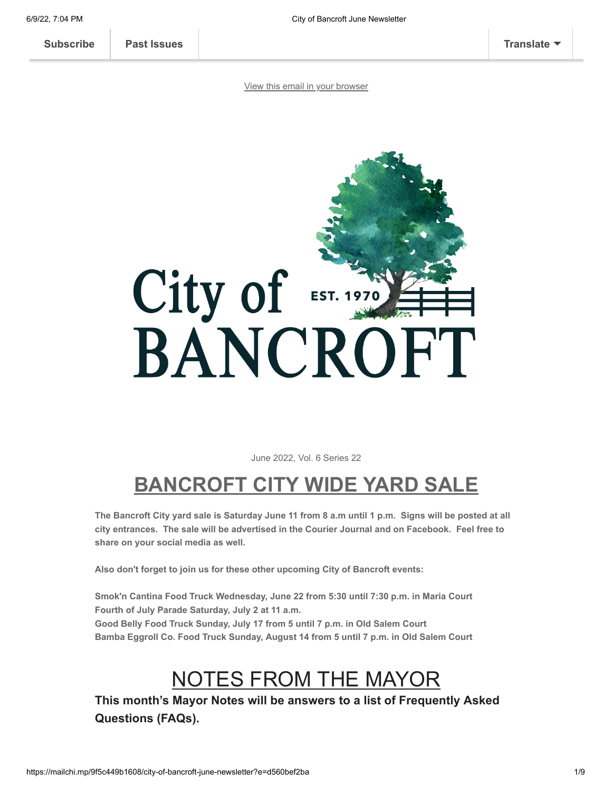[View this email in your browser](https://mailchi.mp/9f5c449b1608/city-of-bancroft-june-newsletter?e=d560bef2ba)

# City of **EST. 197** BANCROFT

June 2022, Vol. 6 Series 22

# **BANCROFT CITY WIDE YARD SALE**

**The Bancroft City yard sale is Saturday June 11 from 8 a.m until 1 p.m. Signs will be posted at all city entrances. The sale will be advertised in the Courier Journal and on Facebook. Feel free to share on your social media as well.**

**Also don't forget to join us for these other upcoming City of Bancroft events:**

**Smok'n Cantina Food Truck Wednesday, June 22 from 5:30 until 7:30 p.m. in Maria Court Fourth of July Parade Saturday, July 2 at 11 a.m. Good Belly Food Truck Sunday, July 17 from 5 until 7 p.m. in Old Salem Court Bamba Eggroll Co. Food Truck Sunday, August 14 from 5 until 7 p.m. in Old Salem Court**

# NOTES FROM THE MAYOR

**This month's Mayor Notes will be answers to a list of Frequently Asked Questions (FAQs).**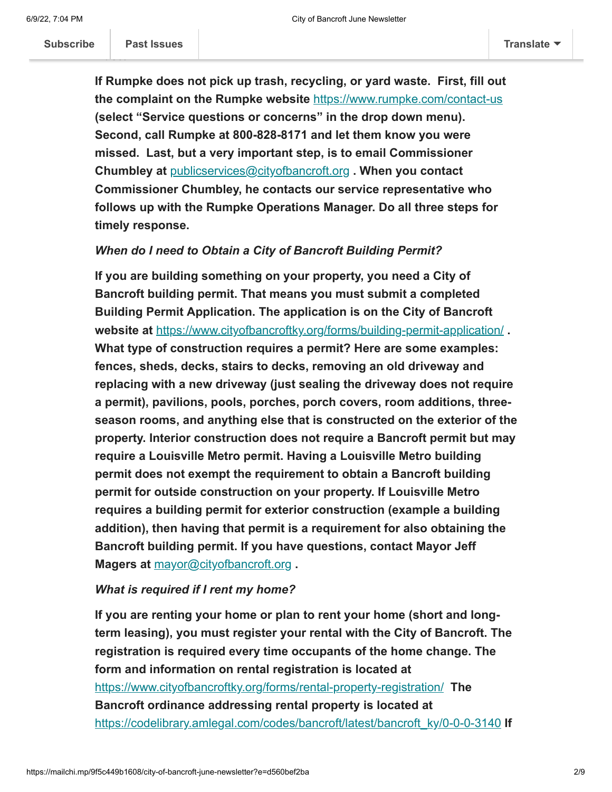**If Rumpke does not pick up trash, recycling, or yard waste. First, fill out the complaint on the Rumpke website** <https://www.rumpke.com/contact-us> **(select "Service questions or concerns" in the drop down menu). Second, call Rumpke at 800-828-8171 and let them know you were missed. Last, but a very important step, is to email Commissioner Chumbley at** [publicservices@cityofbancroft.org](mailto:publicservices@cityofbancroft.org) **. When you contact Commissioner Chumbley, he contacts our service representative who follows up with the Rumpke Operations Manager. Do all three steps for timely response.**

#### *When do I need to Obtain a City of Bancroft Building Permit?*

**If you are building something on your property, you need a City of Bancroft building permit. That means you must submit a completed Building Permit Application. The application is on the City of Bancroft website at** <https://www.cityofbancroftky.org/forms/building-permit-application/> **. What type of construction requires a permit? Here are some examples: fences, sheds, decks, stairs to decks, removing an old driveway and replacing with a new driveway (just sealing the driveway does not require a permit), pavilions, pools, porches, porch covers, room additions, threeseason rooms, and anything else that is constructed on the exterior of the property. Interior construction does not require a Bancroft permit but may require a Louisville Metro permit. Having a Louisville Metro building permit does not exempt the requirement to obtain a Bancroft building permit for outside construction on your property. If Louisville Metro requires a building permit for exterior construction (example a building addition), then having that permit is a requirement for also obtaining the Bancroft building permit. If you have questions, contact Mayor Jeff Magers at** [mayor@cityofbancroft.org](mailto:mayor@cityofbancroft.org) **.**

## *What is required if I rent my home?*

**If you are renting your home or plan to rent your home (short and longterm leasing), you must register your rental with the City of Bancroft. The registration is required every time occupants of the home change. The form and information on rental registration is located at** <https://www.cityofbancroftky.org/forms/rental-property-registration/> **The Bancroft ordinance addressing rental property is located at** [https://codelibrary.amlegal.com/codes/bancroft/latest/bancroft\\_ky/0-0-0-3140](https://codelibrary.amlegal.com/codes/bancroft/latest/bancroft_ky/0-0-0-3140) **If**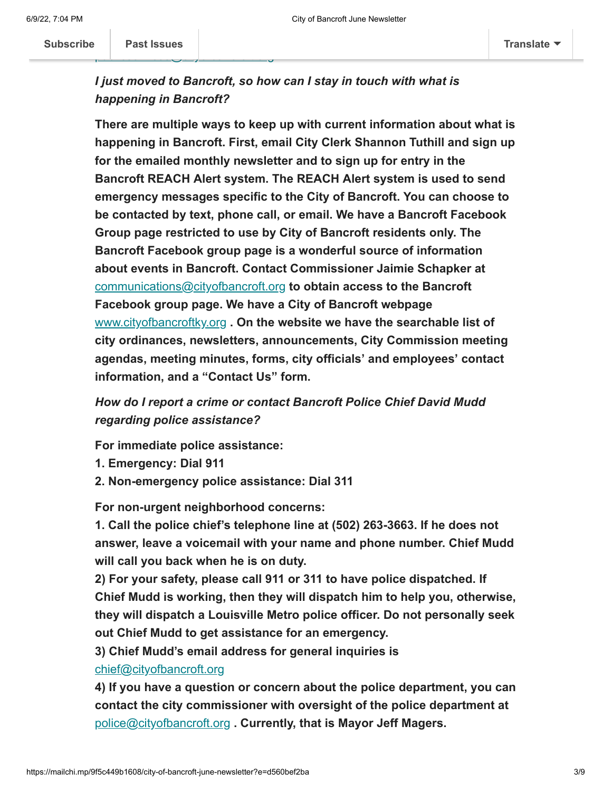## *I just moved to Bancroft, so how can I stay in touch with what is happening in Bancroft?*

**There are multiple ways to keep up with current information about what is happening in Bancroft. First, email City Clerk Shannon Tuthill and sign up for the emailed monthly newsletter and to sign up for entry in the Bancroft REACH Alert system. The REACH Alert system is used to send emergency messages specific to the City of Bancroft. You can choose to be contacted by text, phone call, or email. We have a Bancroft Facebook Group page restricted to use by City of Bancroft residents only. The Bancroft Facebook group page is a wonderful source of information about events in Bancroft. Contact Commissioner Jaimie Schapker at** [communications@cityofbancroft.org](mailto:communications@cityofbancroft.org) **to obtain access to the Bancroft Facebook group page. We have a City of Bancroft webpage** [www.cityofbancroftky.org](http://www.cityofbancroftky.org/) **. On the website we have the searchable list of city ordinances, newsletters, announcements, City Commission meeting agendas, meeting minutes, forms, city officials' and employees' contact information, and a "Contact Us" form.**

*How do I report a crime or contact Bancroft Police Chief David Mudd regarding police assistance?*

**For immediate police assistance:**

- **1. Emergency: Dial 911**
- **2. Non-emergency police assistance: Dial 311**

**For non-urgent neighborhood concerns:**

**1. Call the police chief's telephone line at (502) 263-3663. If he does not answer, leave a voicemail with your name and phone number. Chief Mudd will call you back when he is on duty.** 

**2) For your safety, please call 911 or 311 to have police dispatched. If Chief Mudd is working, then they will dispatch him to help you, otherwise, they will dispatch a Louisville Metro police officer. Do not personally seek out Chief Mudd to get assistance for an emergency.**

**3) Chief Mudd's email address for general inquiries is** [chief@cityofbancroft.org](mailto:chief@cityofbancroft.org)

**4) If you have a question or concern about the police department, you can contact the city commissioner with oversight of the police department at** [police@cityofbancroft.org](mailto:police@cityofbancroft.org) **. Currently, that is Mayor Jeff Magers.**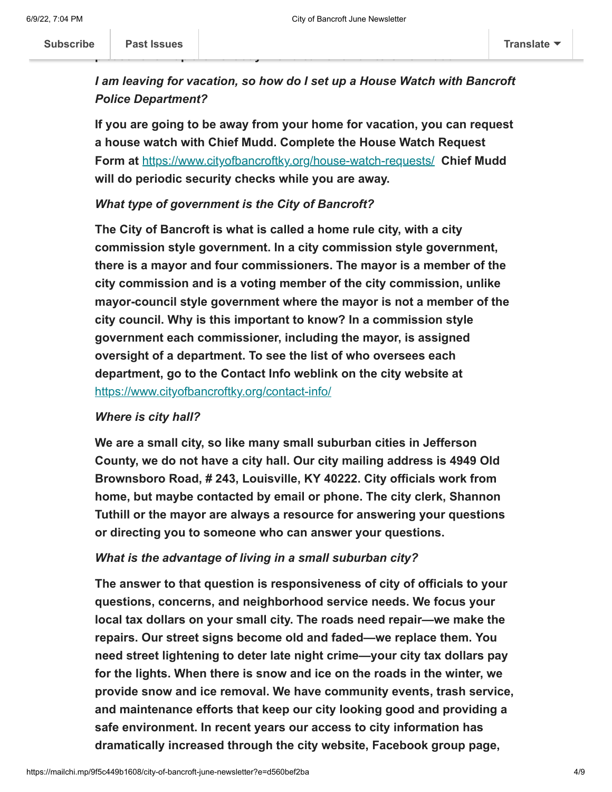*I am leaving for vacation, so how do I set up a House Watch with Bancroft Police Department?*

**If you are going to be away from your home for vacation, you can request a house watch with Chief Mudd. Complete the House Watch Request Form at** <https://www.cityofbancroftky.org/house-watch-requests/> **Chief Mudd will do periodic security checks while you are away.**

#### *What type of government is the City of Bancroft?*

**The City of Bancroft is what is called a home rule city, with a city commission style government. In a city commission style government, there is a mayor and four commissioners. The mayor is a member of the city commission and is a voting member of the city commission, unlike mayor-council style government where the mayor is not a member of the city council. Why is this important to know? In a commission style government each commissioner, including the mayor, is assigned oversight of a department. To see the list of who oversees each department, go to the Contact Info weblink on the city website at** <https://www.cityofbancroftky.org/contact-info/>

### *Where is city hall?*

**We are a small city, so like many small suburban cities in Jefferson County, we do not have a city hall. Our city mailing address is 4949 Old Brownsboro Road, # 243, Louisville, KY 40222. City officials work from home, but maybe contacted by email or phone. The city clerk, Shannon Tuthill or the mayor are always a resource for answering your questions or directing you to someone who can answer your questions.**

#### *What is the advantage of living in a small suburban city?*

**The answer to that question is responsiveness of city of officials to your questions, concerns, and neighborhood service needs. We focus your local tax dollars on your small city. The roads need repair—we make the repairs. Our street signs become old and faded—we replace them. You need street lightening to deter late night crime—your city tax dollars pay for the lights. When there is snow and ice on the roads in the winter, we provide snow and ice removal. We have community events, trash service, and maintenance efforts that keep our city looking good and providing a safe environment. In recent years our access to city information has dramatically increased through the city website, Facebook group page,**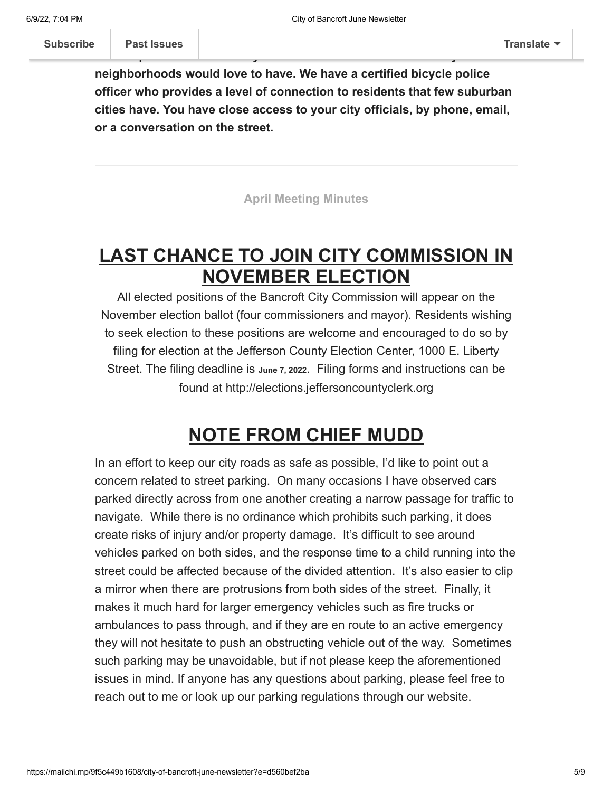**neighborhoods would love to have. We have a certified bicycle police officer who provides a level of connection to residents that few suburban cities have. You have close access to your city officials, by phone, email, or a conversation on the street.**

**R[EACH Alert, and](https://us14.campaign-archive.com/home/?u=3d979dbd3c4dd11333cb890d6&id=d69d0acaa7) emailed newsletter. We provide police services, that**

**have kept crime to extremely low levels that residents in nearby**

**[April Meeting Minutes](https://www.cityofbancroftky.org/April-2022-meeting-minutes/)**

## **LAST CHANCE TO JOIN CITY COMMISSION IN NOVEMBER ELECTION**

All elected positions of the Bancroft City Commission will appear on the November election ballot (four commissioners and mayor). Residents wishing to seek election to these positions are welcome and encouraged to do so by filing for election at the Jefferson County Election Center, 1000 E. Liberty Street. The filing deadline is **June 7, <sup>2022</sup>**. Filing forms and instructions can be found at http://elections.jeffersoncountyclerk.org

## **NOTE FROM CHIEF MUDD**

In an effort to keep our city roads as safe as possible, I'd like to point out a concern related to street parking. On many occasions I have observed cars parked directly across from one another creating a narrow passage for traffic to navigate. While there is no ordinance which prohibits such parking, it does create risks of injury and/or property damage. It's difficult to see around vehicles parked on both sides, and the response time to a child running into the street could be affected because of the divided attention. It's also easier to clip a mirror when there are protrusions from both sides of the street. Finally, it makes it much hard for larger emergency vehicles such as fire trucks or ambulances to pass through, and if they are en route to an active emergency they will not hesitate to push an obstructing vehicle out of the way. Sometimes such parking may be unavoidable, but if not please keep the aforementioned issues in mind. If anyone has any questions about parking, please feel free to reach out to me or look up our parking regulations through our website.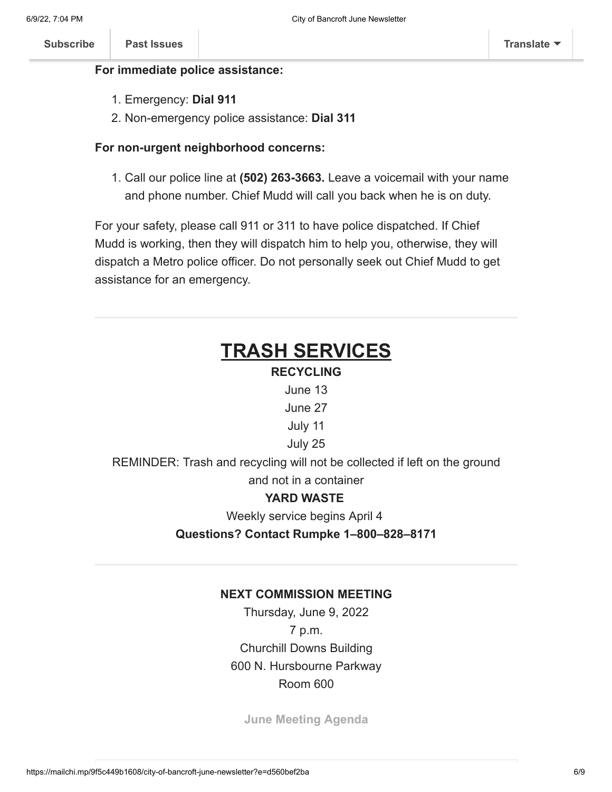#### **For immediate police assistance:**

- 1. Emergency: **Dial 911**
- 2. Non-emergency police assistance: **Dial 311**

## **For non-urgent neighborhood concerns:**

1. Call our police line at **(502) 263-3663.** Leave a voicemail with your name and phone number. Chief Mudd will call you back when he is on duty.

For your safety, please call 911 or 311 to have police dispatched. If Chief Mudd is working, then they will dispatch him to help you, otherwise, they will dispatch a Metro police officer. Do not personally seek out Chief Mudd to get assistance for an emergency.

## **TRASH SERVICES RECYCLING** June 13 June 27 July 11 July 25 REMINDER: Trash and recycling will not be collected if left on the ground and not in a container **YARD WASTE** Weekly service begins April 4 **Questions? Contact Rumpke 1–800–828–8171**

## **NEXT COMMISSION MEETING**

Thursday, June 9, 2022 7 p.m. Churchill Downs Building 600 N. Hursbourne Parkway Room 600

**[June Meeting Agenda](https://www.cityofbancroftky.org/June-2022-meeting-agenda/)**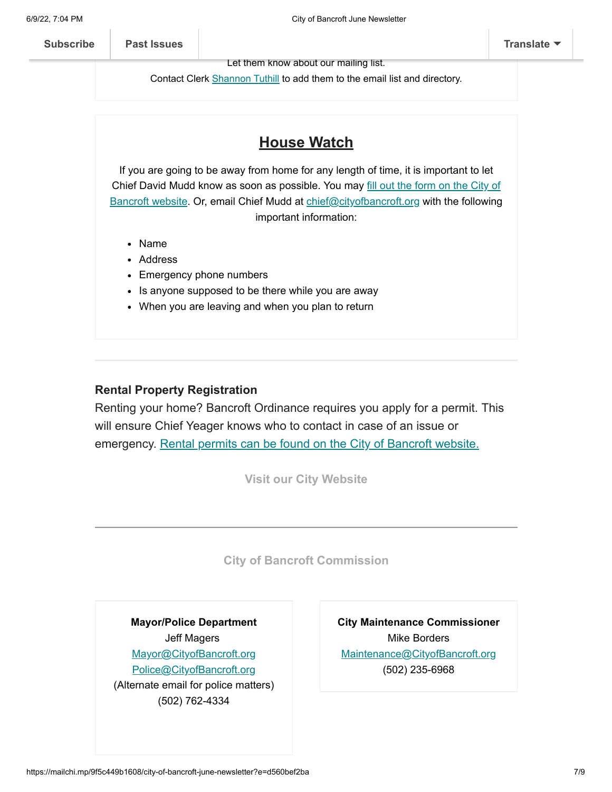Let them know about our mailing list.

Contact Clerk **Shannon Tuthill** to add them to the email list and directory.

## **House Watch**

If you are going to be away from home for any length of time, it is important to let Chief David Mudd [know as soon as possible. You may fill out the form on the City of](https://www.cityofbancroftky.org/house-watch-requests/) Bancroft website. Or, email Chief Mudd at [chief@cityofbancroft.org](mailto:chief@cityofbancroft.org) with the following important information:

- Name
- Address
- Emergency phone numbers
- Is anyone supposed to be there while you are away
- When you are leaving and when you plan to return

#### **Rental Property Registration**

Renting your home? Bancroft Ordinance requires you apply for a permit. This will ensure Chief Yeager knows who to contact in case of an issue or emergency. [Rental permits can be found on the City of Bancroft website.](https://www.cityofbancroftky.org/rental-property-registration/)

**[Visit our City Website](http://www.cityofbancroftky.org/)**

**[City of Bancroft Commission](https://www.cityofbancroftky.org/contact-info/)**

**Mayor/Police Department** Jeff Magers [Mayor@CityofBancroft.org](mailto:MAYOR@CITYOFBANCROFT.ORG) [Police@CityofBancroft.org](mailto:Police@CityofBancroft.org) (Alternate email for police matters) (502) 762-4334

**City Maintenance Commissioner** Mike Borders [Maintenance@CityofBancroft.org](mailto:Maintenance@CityofBancroft.org) (502) 235-6968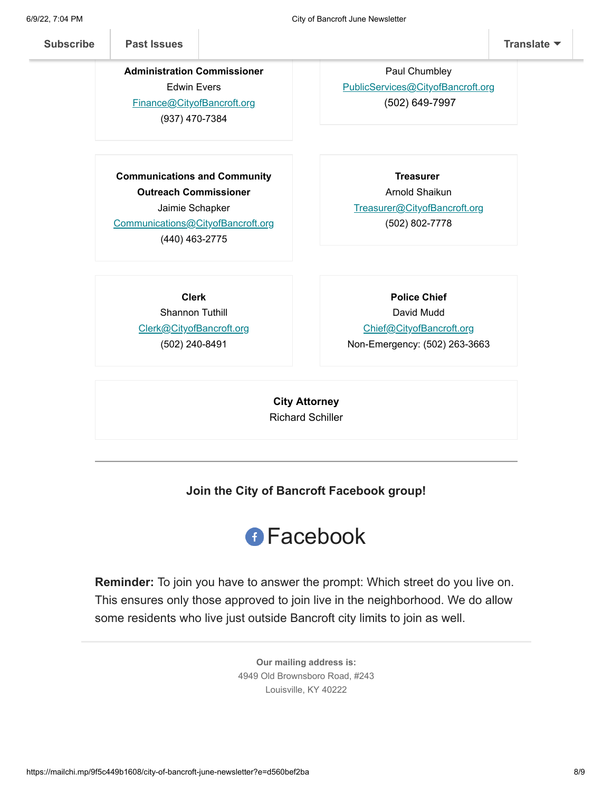**Administration Commissioner** Edwin Evers [Finance@CityofBancroft.org](mailto:Finance@CityofBancroft.org) (937) 470-7384

**Finance and**

**Communications and Community Outreach Commissioner** Jaimie Schapker [Communications@CityofBancroft.org](mailto:Communications@CityofBancroft.org)

(440) 463-2775

Paul Chumbley [PublicServices@CityofBancroft.org](mailto:PublicServices@CityofBancroft.org) (502) 649-7997

**Public Services Commissioner**

Arnold Shaikun [Treasurer@CityofBancroft.org](mailto:TREASURER@CITYOFBANCROFT.ORG) (502) 802-7778

**Treasurer**

**Clerk** Shannon Tuthill [Clerk@CityofBancroft.org](mailto:Clerk@CityofBancroft.org) (502) 240-8491

**Police Chief** David Mudd [Chief@CityofBancroft.org](mailto:CHIEF@CITYOFBANCROFT.ORG)

Non-Emergency: (502) 263-3663

**City Attorney** Richard Schiller

**Join the City of Bancroft Facebook group!**



**Reminder:** To join you have to answer the prompt: Which street do you live on. This ensures only those approved to join live in the neighborhood. We do allow some residents who live just outside Bancroft city limits to join as well.

> **Our mailing address is:** 4949 Old Brownsboro Road, #243 Louisville, KY 40222